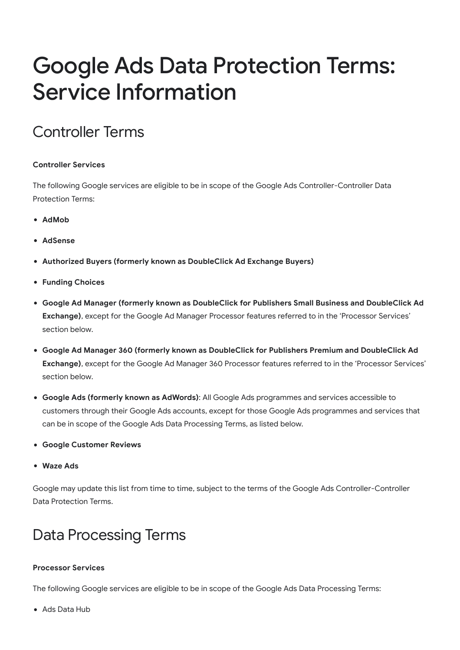# Google Ads Data Protection Terms: Service Information

## Controller Terms

### **Controller Services**

The following Google services are eligible to be in scope of the Google Ads Controller-Controller Data Protection Terms:

- **AdMob**
- **AdSense**
- **Authorized Buyers (formerly known as DoubleClick Ad Exchange Buyers)**
- **Funding Choices**
- **Google Ad Manager (formerly known as DoubleClick for Publishers Small Business and DoubleClick Ad Exchange)**, except for the Google Ad Manager Processor features referred to in the 'Processor Services' section below.
- **Google Ad Manager 360 (formerly known as DoubleClick for Publishers Premium and DoubleClick Ad Exchange)**, except for the Google Ad Manager 360 Processor features referred to in the 'Processor Services' section below.
- **Google Ads (formerly known as AdWords)**: All Google Ads programmes and services accessible to customers through their Google Ads accounts, except for those Google Ads programmes and services that can be in scope of the Google Ads Data Processing Terms, as listed below.
- **Google Customer Reviews**
- **Waze Ads**

Google may update this list from time to time, subject to the terms of the Google Ads Controller-Controller Data Protection Terms.

## Data Processing Terms

### **Processor Services**

The following Google services are eligible to be in scope of the Google Ads Data Processing Terms:

Ads Data Hub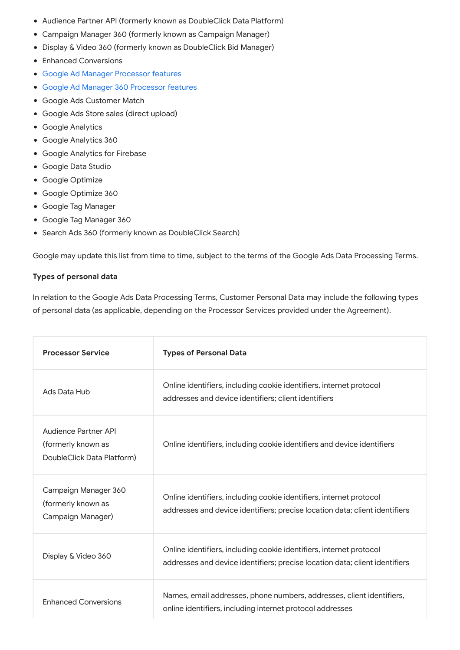- Audience Partner API (formerly known as DoubleClick Data Platform)
- Campaign Manager 360 (formerly known as Campaign Manager)
- Display & Video 360 (formerly known as DoubleClick Bid Manager)
- Enhanced Conversions
- [Google Ad Manager Processor features](https://support.google.com/admanager/answer/7666366#processor)
- [Google Ad Manager 360 Processor features](https://support.google.com/admanager/answer/7666366#processor)
- Google Ads Customer Match
- Google Ads Store sales (direct upload)
- Google Analytics
- Google Analytics 360
- Google Analytics for Firebase
- Google Data Studio
- Google Optimize
- Google Optimize 360
- Google Tag Manager
- Google Tag Manager 360
- Search Ads 360 (formerly known as DoubleClick Search)

Google may update this list from time to time, subject to the terms of the Google Ads Data Processing Terms.

#### **Types of personal data**

In relation to the Google Ads Data Processing Terms, Customer Personal Data may include the following types of personal data (as applicable, depending on the Processor Services provided under the Agreement).

| <b>Processor Service</b>                                                 | <b>Types of Personal Data</b>                                                                                                                      |
|--------------------------------------------------------------------------|----------------------------------------------------------------------------------------------------------------------------------------------------|
| Ads Data Hub                                                             | Online identifiers, including cookie identifiers, internet protocol<br>addresses and device identifiers; client identifiers                        |
| Audience Partner API<br>(formerly known as<br>DoubleClick Data Platform) | Online identifiers, including cookie identifiers and device identifiers                                                                            |
| Campaign Manager 360<br>(formerly known as<br>Campaign Manager)          | Online identifiers, including cookie identifiers, internet protocol<br>addresses and device identifiers; precise location data; client identifiers |
| Display & Video 360                                                      | Online identifiers, including cookie identifiers, internet protocol<br>addresses and device identifiers; precise location data; client identifiers |
| <b>Enhanced Conversions</b>                                              | Names, email addresses, phone numbers, addresses, client identifiers,<br>online identifiers, including internet protocol addresses                 |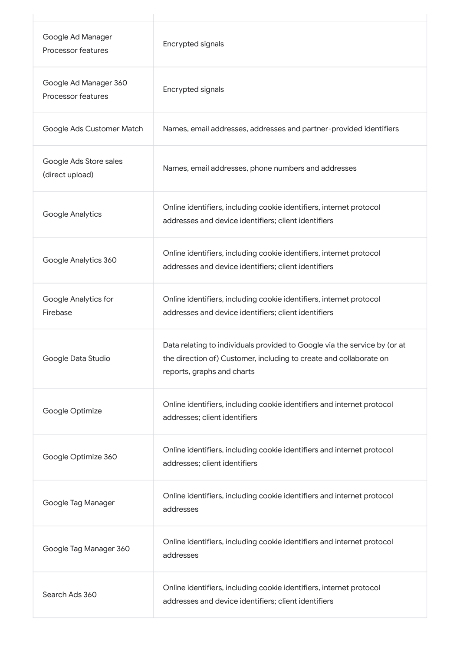| Google Ad Manager<br>Processor features     | Encrypted signals                                                                                                                                                             |
|---------------------------------------------|-------------------------------------------------------------------------------------------------------------------------------------------------------------------------------|
| Google Ad Manager 360<br>Processor features | <b>Encrypted signals</b>                                                                                                                                                      |
| Google Ads Customer Match                   | Names, email addresses, addresses and partner-provided identifiers                                                                                                            |
| Google Ads Store sales<br>(direct upload)   | Names, email addresses, phone numbers and addresses                                                                                                                           |
| Google Analytics                            | Online identifiers, including cookie identifiers, internet protocol<br>addresses and device identifiers; client identifiers                                                   |
| Google Analytics 360                        | Online identifiers, including cookie identifiers, internet protocol<br>addresses and device identifiers; client identifiers                                                   |
| Google Analytics for<br>Firebase            | Online identifiers, including cookie identifiers, internet protocol<br>addresses and device identifiers; client identifiers                                                   |
| Google Data Studio                          | Data relating to individuals provided to Google via the service by (or at<br>the direction of) Customer, including to create and collaborate on<br>reports, graphs and charts |
| Google Optimize                             | Online identifiers, including cookie identifiers and internet protocol<br>addresses; client identifiers                                                                       |
| Google Optimize 360                         | Online identifiers, including cookie identifiers and internet protocol<br>addresses; client identifiers                                                                       |
| Google Tag Manager                          | Online identifiers, including cookie identifiers and internet protocol<br>addresses                                                                                           |
| Google Tag Manager 360                      | Online identifiers, including cookie identifiers and internet protocol<br>addresses                                                                                           |
| Search Ads 360                              | Online identifiers, including cookie identifiers, internet protocol<br>addresses and device identifiers; client identifiers                                                   |